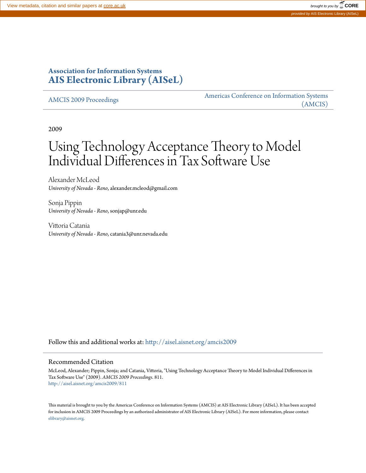# **Association for Information Systems [AIS Electronic Library \(AISeL\)](http://aisel.aisnet.org?utm_source=aisel.aisnet.org%2Famcis2009%2F811&utm_medium=PDF&utm_campaign=PDFCoverPages)**

[AMCIS 2009 Proceedings](http://aisel.aisnet.org/amcis2009?utm_source=aisel.aisnet.org%2Famcis2009%2F811&utm_medium=PDF&utm_campaign=PDFCoverPages)

[Americas Conference on Information Systems](http://aisel.aisnet.org/amcis?utm_source=aisel.aisnet.org%2Famcis2009%2F811&utm_medium=PDF&utm_campaign=PDFCoverPages) [\(AMCIS\)](http://aisel.aisnet.org/amcis?utm_source=aisel.aisnet.org%2Famcis2009%2F811&utm_medium=PDF&utm_campaign=PDFCoverPages)

2009

# Using Technology Acceptance Theory to Model Individual Differences in Tax Software Use

Alexander McLeod *University of Nevada - Reno*, alexander.mcleod@gmail.com

Sonja Pippin *University of Nevada - Reno*, sonjap@unr.edu

Vittoria Catania *University of Nevada - Reno*, catania3@unr.nevada.edu

Follow this and additional works at: [http://aisel.aisnet.org/amcis2009](http://aisel.aisnet.org/amcis2009?utm_source=aisel.aisnet.org%2Famcis2009%2F811&utm_medium=PDF&utm_campaign=PDFCoverPages)

#### Recommended Citation

McLeod, Alexander; Pippin, Sonja; and Catania, Vittoria, "Using Technology Acceptance Theory to Model Individual Differences in Tax Software Use" (2009). *AMCIS 2009 Proceedings*. 811. [http://aisel.aisnet.org/amcis2009/811](http://aisel.aisnet.org/amcis2009/811?utm_source=aisel.aisnet.org%2Famcis2009%2F811&utm_medium=PDF&utm_campaign=PDFCoverPages)

This material is brought to you by the Americas Conference on Information Systems (AMCIS) at AIS Electronic Library (AISeL). It has been accepted for inclusion in AMCIS 2009 Proceedings by an authorized administrator of AIS Electronic Library (AISeL). For more information, please contact [elibrary@aisnet.org.](mailto:elibrary@aisnet.org%3E)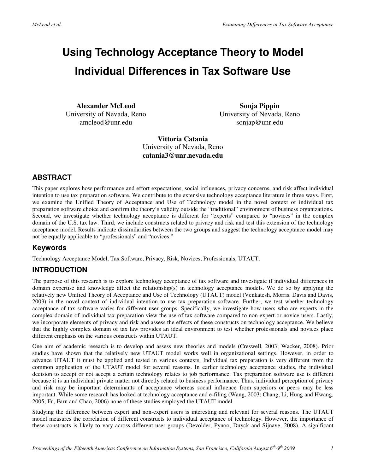# **Using Technology Acceptance Theory to Model Individual Differences in Tax Software Use**

**Alexander McLeod**  University of Nevada, Reno amcleod@unr.edu

**Sonja Pippin**  University of Nevada, Reno sonjap@unr.edu

**Vittoria Catania**  University of Nevada, Reno **catania3@unr.nevada.edu** 

## **ABSTRACT**

This paper explores how performance and effort expectations, social influences, privacy concerns, and risk affect individual intention to use tax preparation software. We contribute to the extensive technology acceptance literature in three ways. First, we examine the Unified Theory of Acceptance and Use of Technology model in the novel context of individual tax preparation software choice and confirm the theory's validity outside the "traditional" environment of business organizations. Second, we investigate whether technology acceptance is different for "experts" compared to "novices" in the complex domain of the U.S. tax law. Third, we include constructs related to privacy and risk and test this extension of the technology acceptance model. Results indicate dissimilarities between the two groups and suggest the technology acceptance model may not be equally applicable to "professionals" and "novices."

#### **Keywords**

Technology Acceptance Model, Tax Software, Privacy, Risk, Novices, Professionals, UTAUT.

#### **INTRODUCTION**

The purpose of this research is to explore technology acceptance of tax software and investigate if individual differences in domain expertise and knowledge affect the relationship(s) in technology acceptance models. We do so by applying the relatively new Unified Theory of Acceptance and Use of Technology (UTAUT) model (Venkatesh, Morris, Davis and Davis, 2003) in the novel context of individual intention to use tax preparation software. Further, we test whether technology acceptance of tax software varies for different user groups. Specifically, we investigate how users who are experts in the complex domain of individual tax preparation view the use of tax software compared to non-expert or novice users. Lastly, we incorporate elements of privacy and risk and assess the effects of these constructs on technology acceptance. We believe that the highly complex domain of tax law provides an ideal environment to test whether professionals and novices place different emphasis on the various constructs within UTAUT.

One aim of academic research is to develop and assess new theories and models (Creswell, 2003; Wacker, 2008). Prior studies have shown that the relatively new UTAUT model works well in organizational settings. However, in order to advance UTAUT it must be applied and tested in various contexts. Individual tax preparation is very different from the common application of the UTAUT model for several reasons. In earlier technology acceptance studies, the individual decision to accept or not accept a certain technology relates to job performance. Tax preparation software use is different because it is an individual private matter not directly related to business performance. Thus, individual perception of privacy and risk may be important determinants of acceptance whereas social influence from superiors or peers may be less important. While some research has looked at technology acceptance and e-filing (Wang, 2003; Chang, Li, Hung and Hwang, 2005; Fu, Farn and Chao, 2006) none of these studies employed the UTAUT model.

Studying the difference between expert and non-expert users is interesting and relevant for several reasons. The UTAUT model measures the correlation of different constructs to individual acceptance of technology. However, the importance of these constructs is likely to vary across different user groups (Devolder, Pynoo, Duyck and Sijnave, 2008). A significant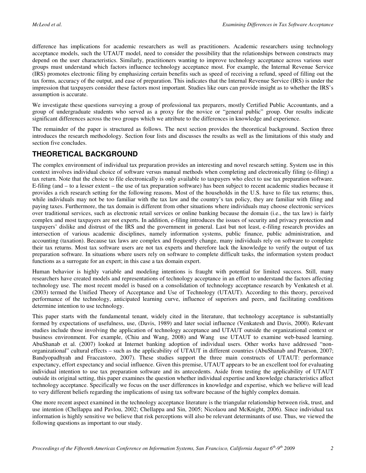difference has implications for academic researchers as well as practitioners. Academic researchers using technology acceptance models, such the UTAUT model, need to consider the possibility that the relationships between constructs may depend on the user characteristics. Similarly, practitioners wanting to improve technology acceptance across various user groups must understand which factors influence technology acceptance most. For example, the Internal Revenue Service (IRS) promotes electronic filing by emphasizing certain benefits such as speed of receiving a refund, speed of filling out the tax forms, accuracy of the output, and ease of preparation. This indicates that the Internal Revenue Service (IRS) is under the impression that taxpayers consider these factors most important. Studies like ours can provide insight as to whether the IRS's assumption is accurate.

We investigate these questions surveying a group of professional tax preparers, mostly Certified Public Accountants, and a group of undergraduate students who served as a proxy for the novice or "general public" group. Our results indicate significant differences across the two groups which we attribute to the differences in knowledge and experience.

The remainder of the paper is structured as follows. The next section provides the theoretical background. Section three introduces the research methodology. Section four lists and discusses the results as well as the limitations of this study and section five concludes.

#### **THEORETICAL BACKGROUND**

The complex environment of individual tax preparation provides an interesting and novel research setting. System use in this context involves individual choice of software versus manual methods when completing and electronically filing (e-filing) a tax return. Note that the choice to file electronically is only available to taxpayers who elect to use tax preparation software. E-filing (and – to a lesser extent – the use of tax preparation software) has been subject to recent academic studies because it provides a rich research setting for the following reasons. Most of the households in the U.S. have to file tax returns; thus, while individuals may not be too familiar with the tax law and the country's tax policy, they are familiar with filing and paying taxes. Furthermore, the tax domain is different from other situations where individuals may choose electronic services over traditional services, such as electronic retail services or online banking because the domain (i.e., the tax law) is fairly complex and most taxpayers are not experts. In addition, e-filing introduces the issues of security and privacy protection and taxpayers' dislike and distrust of the IRS and the government in general. Last but not least, e-filing research provides an intersection of various academic disciplines, namely information systems, public finance, public administration, and accounting (taxation). Because tax laws are complex and frequently change, many individuals rely on software to complete their tax returns. Most tax software users are not tax experts and therefore lack the knowledge to verify the output of tax preparation software. In situations where users rely on software to complete difficult tasks, the information system product functions as a surrogate for an expert; in this case a tax domain expert.

Human behavior is highly variable and modeling intentions is fraught with potential for limited success. Still, many researchers have created models and representations of technology acceptance in an effort to understand the factors affecting technology use. The most recent model is based on a consolidation of technology acceptance research by Venkatesh et al. (2003) termed the Unified Theory of Acceptance and Use of Technology (UTAUT). According to this theory, perceived performance of the technology, anticipated learning curve, influence of superiors and peers, and facilitating conditions determine intention to use technology.

This paper starts with the fundamental tenant, widely cited in the literature, that technology acceptance is substantially formed by expectations of usefulness, use, (Davis, 1989) and later social influence (Venkatesh and Davis, 2000). Relevant studies include those involving the application of technology acceptance and UTAUT outside the organizational context or business environment. For example, (Chiu and Wang, 2008) and Wang use UTAUT to examine web-based learning. AbuShanab et al. (2007) looked at Internet banking adoption of individual users. Other works have addressed "nonorganizational" cultural effects – such as the applicability of UTAUT in different countries (AbuShanab and Pearson, 2007; Bandyopadhyah and Fraccastoro, 2007). These studies support the three main constructs of UTAUT: performance expectancy, effort expectancy and social influence. Given this premise, UTAUT appears to be an excellent tool for evaluating individual intention to use tax preparation software and its antecedents. Aside from testing the applicability of UTAUT outside its original setting, this paper examines the question whether individual expertise and knowledge characteristics affect technology acceptance. Specifically we focus on the user differences in knowledge and expertise, which we believe will lead to very different beliefs regarding the implications of using tax software because of the highly complex domain.

One more recent aspect examined in the technology acceptance literature is the triangular relationship between risk, trust, and use intention (Chellappa and Pavlou, 2002; Chellappa and Sin, 2005; Nicolaou and McKnight, 2006). Since individual tax information is highly sensitive we believe that risk perceptions will also be relevant determinants of use. Thus, we viewed the following questions as important to our study.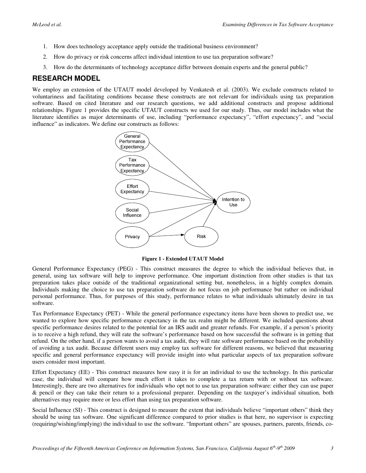- 1. How does technology acceptance apply outside the traditional business environment?
- 2. How do privacy or risk concerns affect individual intention to use tax preparation software?
- 3. How do the determinants of technology acceptance differ between domain experts and the general public?

#### **RESEARCH MODEL**

We employ an extension of the UTAUT model developed by Venkatesh et al. (2003). We exclude constructs related to voluntariness and facilitating conditions because these constructs are not relevant for individuals using tax preparation software. Based on cited literature and our research questions, we add additional constructs and propose additional relationships. Figure 1 provides the specific UTAUT constructs we used for our study. Thus, our model includes what the literature identifies as major determinants of use, including "performance expectancy", "effort expectancy", and "social influence" as indicators. We define our constructs as follows:



**Figure 1 - Extended UTAUT Model** 

General Performance Expectancy (PEG) - This construct measures the degree to which the individual believes that, in general, using tax software will help to improve performance. One important distinction from other studies is that tax preparation takes place outside of the traditional organizational setting but, nonetheless, in a highly complex domain. Individuals making the choice to use tax preparation software do not focus on job performance but rather on individual personal performance. Thus, for purposes of this study, performance relates to what individuals ultimately desire in tax software.

Tax Performance Expectancy (PET) - While the general performance expectancy items have been shown to predict use, we wanted to explore how specific performance expectancy in the tax realm might be different. We included questions about specific performance desires related to the potential for an IRS audit and greater refunds. For example, if a person's priority is to receive a high refund, they will rate the software's performance based on how successful the software is in getting that refund. On the other hand, if a person wants to avoid a tax audit, they will rate software performance based on the probability of avoiding a tax audit. Because different users may employ tax software for different reasons, we believed that measuring specific and general performance expectancy will provide insight into what particular aspects of tax preparation software users consider most important.

Effort Expectancy (EE) - This construct measures how easy it is for an individual to use the technology. In this particular case, the individual will compare how much effort it takes to complete a tax return with or without tax software. Interestingly, there are two alternatives for individuals who opt not to use tax preparation software: either they can use paper & pencil or they can take their return to a professional preparer. Depending on the taxpayer's individual situation, both alternatives may require more or less effort than using tax preparation software.

Social Influence (SI) - This construct is designed to measure the extent that individuals believe "important others" think they should be using tax software. One significant difference compared to prior studies is that here, no supervisor is expecting (requiring/wishing/implying) the individual to use the software. "Important others" are spouses, partners, parents, friends, co-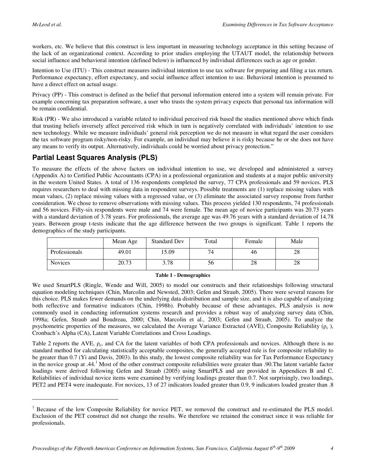$\overline{a}$ 

workers, etc. We believe that this construct is less important in measuring technology acceptance in this setting because of the lack of an organizational context. According to prior studies employing the UTAUT model, the relationship between social influence and behavioral intention (defined below) is influenced by individual differences such as age or gender.

Intention to Use (ITU) - This construct measures individual intention to use tax software for preparing and filing a tax return. Performance expectancy, effort expectancy, and social influence affect intention to use. Behavioral intention is presumed to have a direct effect on actual usage.

Privacy (PP) - This construct is defined as the belief that personal information entered into a system will remain private. For example concerning tax preparation software, a user who trusts the system privacy expects that personal tax information will be remain confidential.

Risk (PR) - We also introduced a variable related to individual perceived risk based the studies mentioned above which finds that trusting beliefs inversely affect perceived risk which in turn is negatively correlated with individuals' intention to use new technology. While we measure individuals' general risk perception we do not measure in what regard the user considers the tax software program risky/non-risky. For example, an individual may believe it is risky because he or she does not have any means to verify its output. Alternatively, individuals could be worried about privacy protection."

#### **Partial Least Squares Analysis (PLS)**

To measure the effects of the above factors on individual intention to use, we developed and administered a survey (Appendix A) to Certified Public Accountants (CPA) in a professional organization and students at a major public university in the western United States. A total of 136 respondents completed the survey, 77 CPA professionals and 59 novices. PLS requires researchers to deal with missing data in respondent surveys. Possible treatments are (1) replace missing values with mean values, (2) replace missing values with a regressed value, or (3) eliminate the associated survey response from further consideration. We chose to remove observations with missing values. This process yielded 130 respondents, 74 professionals and 56 novices. Fifty-six respondents were male and 74 were female. The mean age of novice participants was 20.73 years with a standard deviation of 3.78 years. For professionals, the average age was 49.76 years with a standard deviation of 14.78 years. Between group t-tests indicate that the age difference between the two groups is significant. Table 1 reports the demographics of the study participants.

|                | Mean Age | <b>Standard Dev</b> | Total | Female | Male |
|----------------|----------|---------------------|-------|--------|------|
| Professionals  | 49.01    | 15.09               |       | 46     | 28   |
| <b>Novices</b> | 20.73    | 3.78                | эb    | 28     | 28   |

#### **Table 1 - Demographics**

We used SmartPLS (Ringle, Wende and Will, 2005) to model our constructs and their relationships following structural equation modeling techniques (Chin, Marcolin and Newsted, 2003; Gefen and Straub, 2005). There were several reasons for this choice. PLS makes fewer demands on the underlying data distribution and sample size, and it is also capable of analyzing both reflective and formative indicators (Chin, 1998b). Probably because of these advantages, PLS analysis is now commonly used in conducting information systems research and provides a robust way of analyzing survey data (Chin, 1998a; Gefen, Straub and Boudreau, 2000; Chin, Marcolin et al., 2003; Gefen and Straub, 2005). To analyze the psychometric properties of the measures, we calculated the Average Variance Extracted (AVE), Composite Reliability ( $\rho_c$ ), Cronbach's Alpha (CA), Latent Variable Correlations and Cross Loadings.

Table 2 reports the AVE,  $\rho_c$ , and CA for the latent variables of both CPA professionals and novices. Although there is no standard method for calculating statistically acceptable composites, the generally accepted rule is for composite reliability to be greater than 0.7 (Yi and Davis, 2003). In this study, the lowest composite reliability was for Tax Performance Expectancy in the novice group at .44.<sup>1</sup> Most of the other construct composite reliabilities were greater than .90. The latent variable factor loadings were derived following Gefen and Straub (2005) using SmartPLS and are provided in Appendices B and C. Reliabilities of individual novice items were examined by verifying loadings greater than 0.7. Not surprisingly, two loadings, PET2 and PET4 were inadequate. For novices, 13 of 27 indicators loaded greater than 0.9, 9 indicators loaded greater than .8

<sup>&</sup>lt;sup>1</sup> Because of the low Composite Reliability for novice PET, we removed the construct and re-estimated the PLS model. Exclusion of the PET construct did not change the results. We therefore we retained the construct since it was reliable for professionals.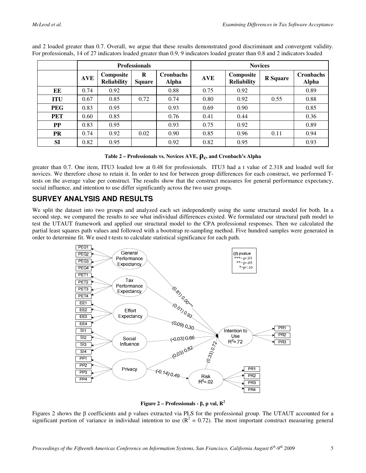|            | <b>Professionals</b> |                                 |                    |                                  | <b>Novices</b> |                                 |                 |                                  |  |
|------------|----------------------|---------------------------------|--------------------|----------------------------------|----------------|---------------------------------|-----------------|----------------------------------|--|
|            | <b>AVE</b>           | Composite<br><b>Reliability</b> | R<br><b>Square</b> | <b>Cronbachs</b><br><b>Alpha</b> | <b>AVE</b>     | Composite<br><b>Reliability</b> | <b>R</b> Square | <b>Cronbachs</b><br><b>Alpha</b> |  |
| EE         | 0.74                 | 0.92                            |                    | 0.88                             | 0.75           | 0.92                            |                 | 0.89                             |  |
| <b>ITU</b> | 0.67                 | 0.85                            | 0.72               | 0.74                             | 0.80           | 0.92                            | 0.55            | 0.88                             |  |
| <b>PEG</b> | 0.83                 | 0.95                            |                    | 0.93                             | 0.69           | 0.90                            |                 | 0.85                             |  |
| PET        | 0.60                 | 0.85                            |                    | 0.76                             | 0.41           | 0.44                            |                 | 0.36                             |  |
| PP         | 0.83                 | 0.95                            |                    | 0.93                             | 0.75           | 0.92                            |                 | 0.89                             |  |
| <b>PR</b>  | 0.74                 | 0.92                            | 0.02               | 0.90                             | 0.85           | 0.96                            | 0.11            | 0.94                             |  |
| <b>SI</b>  | 0.82                 | 0.95                            |                    | 0.92                             | 0.82           | 0.95                            |                 | 0.93                             |  |

and 2 loaded greater than 0.7. Overall, we argue that these results demonstrated good discriminant and convergent validity. For professionals, 14 of 27 indicators loaded greater than 0.9, 9 indicators loaded greater than 0.8 and 2 indicators loaded

**Table 2 – Professionals vs. Novices AVE,**  $ρ_c$ **, and Cronbach's Alpha** 

greater than 0.7. One item, ITU3 loaded low at 0.48 for professionals. ITU3 had a t value of 2.318 and loaded well for novices. We therefore chose to retain it. In order to test for between group differences for each construct, we performed Ttests on the average value per construct. The results show that the construct measures for general performance expectancy, social influence, and intention to use differ significantly across the two user groups.

## **SURVEY ANALYSIS AND RESULTS**

We split the dataset into two groups and analyzed each set independently using the same structural model for both. In a second step, we compared the results to see what individual differences existed. We formulated our structural path model to test the UTAUT framework and applied our structural model to the CPA professional responses. Then we calculated the partial least squares path values and followed with a bootstrap re-sampling method. Five hundred samples were generated in order to determine fit. We used t-tests to calculate statistical significance for each path.



**Figure 2 – Professionals -** β**, p val, R<sup>2</sup>**

Figures 2 shows the β coefficients and p values extracted via PLS for the professional group. The UTAUT accounted for a significant portion of variance in individual intention to use  $(R^2 = 0.72)$ . The most important construct measuring general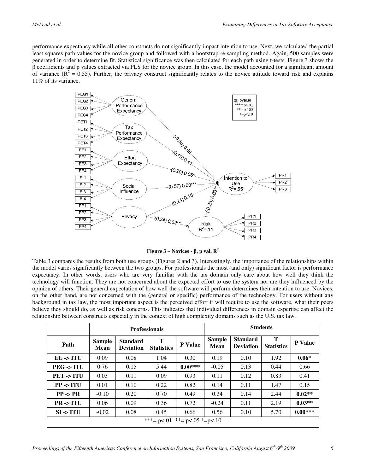performance expectancy while all other constructs do not significantly impact intention to use. Next, we calculated the partial least squares path values for the novice group and followed with a bootstrap re-sampling method. Again, 500 samples were generated in order to determine fit. Statistical significance was then calculated for each path using t-tests. Figure 3 shows the β coefficients and p values extracted via PLS for the novice group. In this case, the model accounted for a significant amount of variance ( $R^2 = 0.55$ ). Further, the privacy construct significantly relates to the novice attitude toward risk and explains 11% of its variance.



**Figure 3** – Novices -  $\beta$ , p val,  $\mathbb{R}^2$ 

Table 3 compares the results from both use groups (Figures 2 and 3). Interestingly, the importance of the relationships within the model varies significantly between the two groups. For professionals the most (and only) significant factor is performance expectancy. In other words, users who are very familiar with the tax domain only care about how well they think the technology will function. They are not concerned about the expected effort to use the system nor are they influenced by the opinion of others. Their general expectation of how well the software will perform determines their intention to use. Novices, on the other hand, are not concerned with the (general or specific) performance of the technology. For users without any background in tax law, the most important aspect is the perceived effort it will require to use the software, what their peers believe they should do, as well as risk concerns. This indicates that individual differences in domain expertise can affect the relationship between constructs especially in the context of high complexity domains such as the U.S. tax law.

|                                      | <b>Professionals</b>  |                                     |                        |                | <b>Students</b>       |                                     |                        |                |
|--------------------------------------|-----------------------|-------------------------------------|------------------------|----------------|-----------------------|-------------------------------------|------------------------|----------------|
| Path                                 | <b>Sample</b><br>Mean | <b>Standard</b><br><b>Deviation</b> | T<br><b>Statistics</b> | <b>P</b> Value | <b>Sample</b><br>Mean | <b>Standard</b><br><b>Deviation</b> | T<br><b>Statistics</b> | <b>P</b> Value |
| $EE \rightarrow ITU$                 | 0.09                  | 0.08                                | 1.04                   | 0.30           | 0.19                  | 0.10                                | 1.92                   | $0.06*$        |
| $PEG \rightarrow ITU$                | 0.76                  | 0.15                                | 5.44                   | $0.00***$      | $-0.05$               | 0.13                                | 0.44                   | 0.66           |
| PET -> ITU                           | 0.03                  | 0.11                                | 0.09                   | 0.93           | 0.11                  | 0.12                                | 0.83                   | 0.41           |
| $PP \rightarrow ITU$                 | 0.01                  | 0.10                                | 0.22                   | 0.82           | 0.14                  | 0.11                                | 1.47                   | 0.15           |
| $PP \rightarrow PR$                  | $-0.10$               | 0.20                                | 0.70                   | 0.49           | 0.34                  | 0.14                                | 2.44                   | $0.02**$       |
| $PR \rightarrow ITU$                 | 0.06                  | 0.09                                | 0.36                   | 0.72           | $-0.24$               | 0.11                                | 2.19                   | $0.03**$       |
| $SI \rightarrow ITU$                 | $-0.02$               | 0.08                                | 0.45                   | 0.66           | 0.56                  | 0.10                                | 5.70                   | $0.00***$      |
| ***= $p<01$ **= $p<0.05$ *= $p<0.10$ |                       |                                     |                        |                |                       |                                     |                        |                |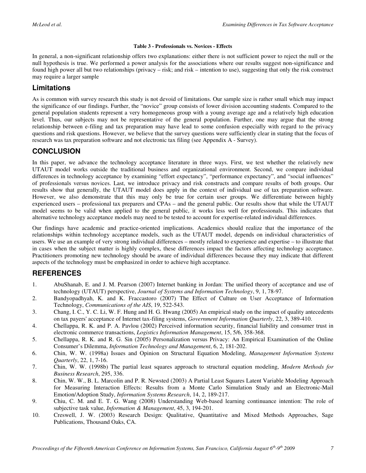#### **Table 3 - Professionals vs. Novices - Effects**

In general, a non-significant relationship offers two explanations: either there is not sufficient power to reject the null or the null hypothesis is true. We performed a power analysis for the associations where our results suggest non-significance and found high power all but two relationships (privacy – risk; and risk – intention to use), suggesting that only the risk construct may require a larger sample

#### **Limitations**

As is common with survey research this study is not devoid of limitations. Our sample size is rather small which may impact the significance of our findings. Further, the "novice" group consists of lower division accounting students. Compared to the general population students represent a very homogeneous group with a young average age and a relatively high education level. Thus, our subjects may not be representative of the general population. Further, one may argue that the strong relationship between e-filing and tax preparation may have lead to some confusion especially with regard to the privacy questions and risk questions. However, we believe that the survey questions were sufficiently clear in stating that the focus of research was tax preparation software and not electronic tax filing (see [Appendix A - Survey\)](#page-9-0).

#### **CONCLUSION**

In this paper, we advance the technology acceptance literature in three ways. First, we test whether the relatively new UTAUT model works outside the traditional business and organizational environment. Second, we compare individual differences in technology acceptance by examining "effort expectancy", "performance expectancy", and "social influences" of professionals versus novices. Last, we introduce privacy and risk constructs and compare results of both groups. Our results show that generally, the UTAUT model does apply in the context of individual use of tax preparation software. However, we also demonstrate that this may only be true for certain user groups. We differentiate between highly experienced users – professional tax preparers and CPAs – and the general public. Our results show that while the UTAUT model seems to be valid when applied to the general public, it works less well for professionals. This indicates that alternative technology acceptance models may need to be tested to account for expertise-related individual differences.

Our findings have academic and practice-oriented implications. Academics should realize that the importance of the relationships within technology acceptance models, such as the UTAUT model, depends on individual characteristics of users. We use an example of very strong individual differences – mostly related to experience and expertise – to illustrate that in cases when the subject matter is highly complex, these differences impact the factors affecting technology acceptance. Practitioners promoting new technology should be aware of individual differences because they may indicate that different aspects of the technology must be emphasized in order to achieve high acceptance.

## **REFERENCES**

- 1. AbuShanab, E. and J. M. Pearson (2007) Internet banking in Jordan: The unified theory of acceptance and use of technology (UTAUT) perspective, *Journal of Systems and Information Technology*, 9, 1, 78-97.
- 2. Bandyopadhyah, K. and K. Fraccastoro (2007) The Effect of Culture on User Acceptance of Information Technology, *Communications of the AIS*, 19, 522-543.
- 3. Chang, I. C., Y. C. Li, W. F. Hung and H. G. Hwang (2005) An empirical study on the impact of quality antecedents on tax payers' acceptance of Internet tax-filing systems, *Government Information Quarterly*, 22, 3, 389-410.
- 4. Chellappa, R. K. and P. A. Pavlou (2002) Perceived information security, financial liability and consumer trust in electronic commerce transactions, *Logistics Information Management*, 15, 5/6, 358-368.
- 5. Chellappa, R. K. and R. G. Sin (2005) Personalization versus Privacy: An Empirical Examination of the Online Consumer's Dilemma, *Information Technology and Management*, 6, 2, 181-202.
- 6. Chin, W. W. (1998a) Issues and Opinion on Structural Equation Modeling, *Management Information Systems Quarterly*, 22, 1, 7-16.
- 7. Chin, W. W. (1998b) The partial least squares approach to structural equation modeling, *Modern Methods for Business Research*, 295, 336.
- 8. Chin, W. W., B. L. Marcolin and P. R. Newsted (2003) A Partial Least Squares Latent Variable Modeling Approach for Measuring Interaction Effects: Results from a Monte Carlo Simulation Study and an Electronic-Mail Emotion/Adoption Study, *Information Systems Research*, 14, 2, 189-217.
- 9. Chiu, C. M. and E. T. G. Wang (2008) Understanding Web-based learning continuance intention: The role of subjective task value, *Information & Management*, 45, 3, 194-201.
- 10. Creswell, J. W. (2003) Research Design: Qualitative, Quantitative and Mixed Methods Approaches, Sage Publications, Thousand Oaks, CA.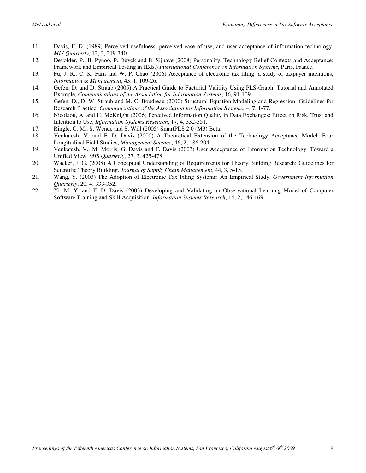- 11. Davis, F. D. (1989) Perceived usefulness, perceived ease of use, and user acceptance of information technology, *MIS Quarterly*, 13, 3, 319-340.
- 12. Devolder, P., B. Pynoo, P. Duyck and B. Sijnave (2008) Personality, Technology Belief Contexts and Acceptance: Framework and Empirical Testing in (Eds.) *International Conference on Information Systems*, Paris, France.
- 13. Fu, J. R., C. K. Farn and W. P. Chao (2006) Acceptance of electronic tax filing: a study of taxpayer intentions, *Information & Management*, 43, 1, 109-26.
- 14. Gefen, D. and D. Straub (2005) A Practical Guide to Factorial Validity Using PLS-Graph: Tutorial and Annotated Example, *Communications of the Association for Information Systems*, 16, 91-109.
- 15. Gefen, D., D. W. Straub and M. C. Boudreau (2000) Structural Equation Modeling and Regression: Guidelines for Research Practice, *Communications of the Association for Information Systems*, 4, 7, 1-77.
- 16. Nicolaou, A. and H. McKnight (2006) Perceived Information Quality in Data Exchanges: Effect on Risk, Trust and Intention to Use, *Information Systems Research*, 17, 4, 332-351.
- 17. Ringle, C. M., S. Wende and S. Will (2005) SmartPLS 2.0 (M3) Beta.
- 18. Venkatesh, V. and F. D. Davis (2000) A Theoretical Extension of the Technology Acceptance Model: Four Longitudinal Field Studies, *Management Science*, 46, 2, 186-204.
- 19. Venkatesh, V., M. Morris, G. Davis and F. Davis (2003) User Acceptance of Information Technology: Toward a Unified View, *MIS Quarterly*, 27, 3, 425-478.
- 20. Wacker, J. G. (2008) A Conceptual Understanding of Requirements for Theory Building Research: Guidelines for Scientific Theory Building, *Journal of Supply Chain Management*, 44, 3, 5-15.
- 21. Wang, Y. (2003) The Adoption of Electronic Tax Filing Systems: An Empirical Study, *Government Information Quarterly*, 20, 4, 333-352.
- 22. Yi, M. Y. and F. D. Davis (2003) Developing and Validating an Observational Learning Model of Computer Software Training and Skill Acquisition, *Information Systems Research*, 14, 2, 146-169.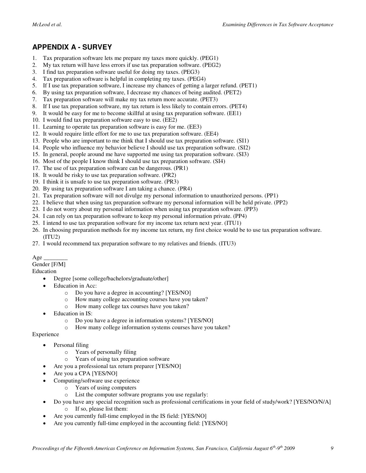#### <span id="page-9-0"></span>**APPENDIX A - SURVEY**

- 1. Tax preparation software lets me prepare my taxes more quickly. (PEG1)
- 2. My tax return will have less errors if use tax preparation software. (PEG2)
- 3. I find tax preparation software useful for doing my taxes. (PEG3)
- 4. Tax preparation software is helpful in completing my taxes. (PEG4)
- 5. If I use tax preparation software, I increase my chances of getting a larger refund. (PET1)
- 6. By using tax preparation software, I decrease my chances of being audited. (PET2)
- 7. Tax preparation software will make my tax return more accurate. (PET3)
- 8. If I use tax preparation software, my tax return is less likely to contain errors. (PET4)
- 9. It would be easy for me to become skillful at using tax preparation software. (EE1)
- 10. I would find tax preparation software easy to use. (EE2)
- 11. Learning to operate tax preparation software is easy for me. (EE3)
- 12. It would require little effort for me to use tax preparation software. (EE4)
- 13. People who are important to me think that I should use tax preparation software. (SI1)
- 14. People who influence my behavior believe I should use tax preparation software. (SI2)
- 15. In general, people around me have supported me using tax preparation software. (SI3)
- 16. Most of the people I know think I should use tax preparation software. (SI4)
- 17. The use of tax preparation software can be dangerous. (PR1)
- 18. It would be risky to use tax preparation software. (PR2)
- 19. I think it is unsafe to use tax preparation software. (PR3)
- 20. By using tax preparation software I am taking a chance. (PR4)
- 21. Tax preparation software will not divulge my personal information to unauthorized persons. (PP1)
- 22. I believe that when using tax preparation software my personal information will be held private. (PP2)
- 23. I do not worry about my personal information when using tax preparation software. (PP3)
- 24. I can rely on tax preparation software to keep my personal information private. (PP4)
- 25. I intend to use tax preparation software for my income tax return next year. (ITU1)
- 26. In choosing preparation methods for my income tax return, my first choice would be to use tax preparation software.  $(TU2)$
- 27. I would recommend tax preparation software to my relatives and friends. (ITU3)

#### $A$ ge Gender [F/M]

- Education
	- Degree [some college/bachelors/graduate/other]
	- Education in Acc:
		- o Do you have a degree in accounting? [YES/NO]
		- o How many college accounting courses have you taken?
		- o How many college tax courses have you taken?
		- Education in IS:
			- o Do you have a degree in information systems? [YES/NO]
			- How many college information systems courses have you taken?

Experience

- Personal filing
	- o Years of personally filing
	- o Years of using tax preparation software
	- Are you a professional tax return preparer [YES/NO]
- Are you a CPA [YES/NO]
- Computing/software use experience
	- o Years of using computers
	- o List the computer software programs you use regularly:
	- Do you have any special recognition such as professional certifications in your field of study/work? [YES/NO/N/A]
		- o If so, please list them:
- Are you currently full-time employed in the IS field: [YES/NO]
- Are you currently full-time employed in the accounting field: [YES/NO]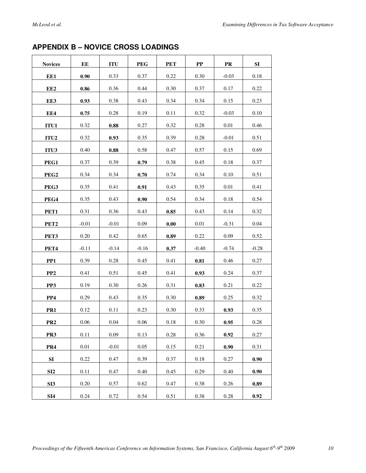## **APPENDIX B – NOVICE CROSS LOADINGS**

| <b>Novices</b>   | $\mathbf{EE}$ | <b>ITU</b>          | <b>PEG</b> | <b>PET</b> | ${\bf PP}$ | ${\bf PR}$ | SI       |
|------------------|---------------|---------------------|------------|------------|------------|------------|----------|
| EE1              | 0.90          | 0.33                | 0.37       | 0.22       | 0.30       | $-0.03$    | 0.18     |
| EE <sub>2</sub>  | $\bf 0.86$    | 0.36                | 0.44       | 0.30       | 0.37       | 0.17       | 0.22     |
| EE3              | 0.93          | 0.38                | 0.43       | 0.34       | 0.34       | 0.15       | 0.23     |
| EE4              | 0.75          | 0.28                | 0.19       | 0.11       | 0.32       | $-0.03$    | $0.10\,$ |
| ITU1             | 0.32          | $\boldsymbol{0.88}$ | 0.27       | 0.32       | 0.28       | 0.01       | 0.46     |
| ITU <sub>2</sub> | 0.32          | 0.93                | 0.35       | 0.39       | 0.28       | $-0.01$    | 0.51     |
| ITU3             | 0.40          | 0.88                | 0.58       | 0.47       | 0.57       | 0.15       | 0.69     |
| PEG1             | 0.37          | 0.39                | 0.79       | 0.38       | 0.45       | 0.18       | 0.37     |
| PEG <sub>2</sub> | 0.34          | 0.34                | 0.70       | 0.74       | 0.34       | 0.10       | 0.51     |
| PEG3             | 0.35          | 0.41                | 0.91       | 0.43       | 0.35       | 0.01       | 0.41     |
| PEG4             | 0.35          | 0.43                | 0.90       | 0.54       | 0.34       | 0.18       | 0.54     |
| PET1             | 0.31          | 0.36                | 0.43       | 0.85       | 0.43       | 0.14       | 0.32     |
| PET <sub>2</sub> | $-0.01$       | $-0.01$             | 0.09       | $0.00\,$   | 0.01       | $-0.31$    | 0.04     |
| PET3             | 0.20          | 0.42                | 0.65       | 0.89       | 0.22       | 0.09       | 0.52     |
| PET <sub>4</sub> | $-0.11$       | $-0.14$             | $-0.16$    | 0.37       | $-0.40$    | $-0.74$    | $-0.28$  |
| PP <sub>1</sub>  | 0.39          | 0.28                | 0.45       | 0.41       | 0.81       | 0.46       | 0.27     |
| PP <sub>2</sub>  | 0.41          | 0.51                | 0.45       | 0.41       | 0.93       | 0.24       | 0.37     |
| PP3              | 0.19          | 0.30                | 0.26       | 0.31       | 0.83       | 0.21       | 0.22     |
| PP4              | 0.29          | 0.43                | 0.35       | 0.30       | 0.89       | 0.25       | 0.32     |
| PR <sub>1</sub>  | 0.12          | 0.11                | 0.23       | 0.30       | 0.33       | 0.93       | 0.35     |
| PR <sub>2</sub>  | $0.06\,$      | $0.04\,$            | $0.06\,$   | $0.18\,$   | $0.30\,$   | $0.95\,$   | $0.28\,$ |
| PR <sub>3</sub>  | 0.11          | 0.09                | 0.13       | 0.28       | 0.36       | 0.92       | 0.27     |
| PR4              | $0.01\,$      | $-0.01$             | 0.05       | 0.15       | 0.21       | 0.90       | 0.31     |
| SI               | 0.22          | 0.47                | 0.39       | 0.37       | 0.18       | 0.27       | 0.90     |
| SI2              | 0.11          | 0.47                | 0.40       | 0.45       | 0.29       | 0.40       | 0.90     |
| SI <sub>3</sub>  | 0.20          | 0.57                | 0.62       | 0.47       | 0.38       | 0.26       | 0.89     |
| SI4              | 0.24          | 0.72                | 0.54       | 0.51       | 0.38       | 0.28       | 0.92     |